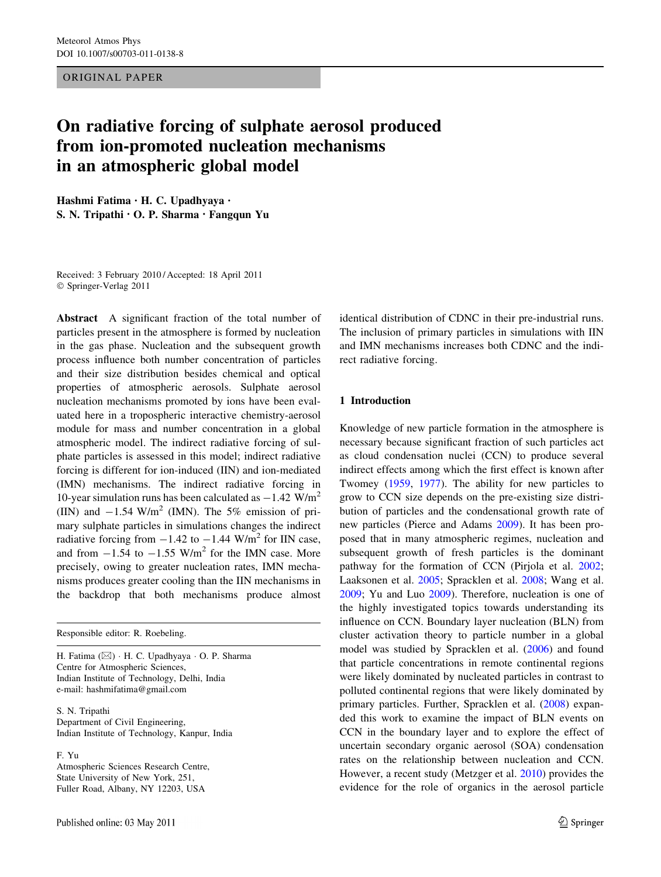ORIGINAL PAPER

# On radiative forcing of sulphate aerosol produced from ion-promoted nucleation mechanisms in an atmospheric global model

Hashmi Fatima • H. C. Upadhyaya • S. N. Tripathi • O. P. Sharma • Fangqun Yu

Received: 3 February 2010 / Accepted: 18 April 2011 © Springer-Verlag 2011

Abstract A significant fraction of the total number of particles present in the atmosphere is formed by nucleation in the gas phase. Nucleation and the subsequent growth process influence both number concentration of particles and their size distribution besides chemical and optical properties of atmospheric aerosols. Sulphate aerosol nucleation mechanisms promoted by ions have been evaluated here in a tropospheric interactive chemistry-aerosol module for mass and number concentration in a global atmospheric model. The indirect radiative forcing of sulphate particles is assessed in this model; indirect radiative forcing is different for ion-induced (IIN) and ion-mediated (IMN) mechanisms. The indirect radiative forcing in 10-year simulation runs has been calculated as  $-1.42$  W/m<sup>2</sup> (IIN) and  $-1.54$  W/m<sup>2</sup> (IMN). The 5% emission of primary sulphate particles in simulations changes the indirect radiative forcing from  $-1.42$  to  $-1.44$  W/m<sup>2</sup> for IIN case, and from  $-1.54$  to  $-1.55$  W/m<sup>2</sup> for the IMN case. More precisely, owing to greater nucleation rates, IMN mechanisms produces greater cooling than the IIN mechanisms in the backdrop that both mechanisms produce almost

Responsible editor: R. Roebeling.

H. Fatima (&) - H. C. Upadhyaya - O. P. Sharma Centre for Atmospheric Sciences, Indian Institute of Technology, Delhi, India e-mail: hashmifatima@gmail.com

S. N. Tripathi Department of Civil Engineering, Indian Institute of Technology, Kanpur, India

F. Yu

Atmospheric Sciences Research Centre, State University of New York, 251, Fuller Road, Albany, NY 12203, USA

identical distribution of CDNC in their pre-industrial runs. The inclusion of primary particles in simulations with IIN and IMN mechanisms increases both CDNC and the indirect radiative forcing.

## 1 Introduction

Knowledge of new particle formation in the atmosphere is necessary because significant fraction of such particles act as cloud condensation nuclei (CCN) to produce several indirect effects among which the first effect is known after Twomey ([1959,](#page-14-0) [1977](#page-14-0)). The ability for new particles to grow to CCN size depends on the pre-existing size distribution of particles and the condensational growth rate of new particles (Pierce and Adams [2009\)](#page-13-0). It has been proposed that in many atmospheric regimes, nucleation and subsequent growth of fresh particles is the dominant pathway for the formation of CCN (Pirjola et al. [2002](#page-13-0); Laaksonen et al. [2005;](#page-13-0) Spracklen et al. [2008](#page-13-0); Wang et al. [2009](#page-14-0); Yu and Luo [2009\)](#page-14-0). Therefore, nucleation is one of the highly investigated topics towards understanding its influence on CCN. Boundary layer nucleation (BLN) from cluster activation theory to particle number in a global model was studied by Spracklen et al. ([2006\)](#page-13-0) and found that particle concentrations in remote continental regions were likely dominated by nucleated particles in contrast to polluted continental regions that were likely dominated by primary particles. Further, Spracklen et al. ([2008\)](#page-13-0) expanded this work to examine the impact of BLN events on CCN in the boundary layer and to explore the effect of uncertain secondary organic aerosol (SOA) condensation rates on the relationship between nucleation and CCN. However, a recent study (Metzger et al. [2010\)](#page-13-0) provides the evidence for the role of organics in the aerosol particle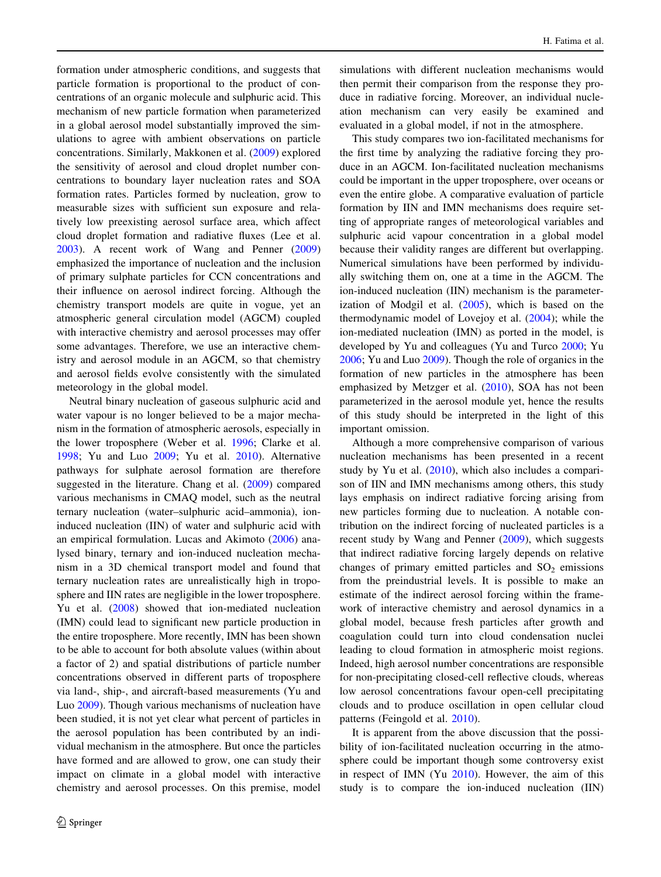formation under atmospheric conditions, and suggests that particle formation is proportional to the product of concentrations of an organic molecule and sulphuric acid. This mechanism of new particle formation when parameterized in a global aerosol model substantially improved the simulations to agree with ambient observations on particle concentrations. Similarly, Makkonen et al. [\(2009](#page-13-0)) explored the sensitivity of aerosol and cloud droplet number concentrations to boundary layer nucleation rates and SOA formation rates. Particles formed by nucleation, grow to measurable sizes with sufficient sun exposure and relatively low preexisting aerosol surface area, which affect cloud droplet formation and radiative fluxes (Lee et al. [2003\)](#page-13-0). A recent work of Wang and Penner ([2009\)](#page-14-0) emphasized the importance of nucleation and the inclusion of primary sulphate particles for CCN concentrations and their influence on aerosol indirect forcing. Although the chemistry transport models are quite in vogue, yet an atmospheric general circulation model (AGCM) coupled with interactive chemistry and aerosol processes may offer some advantages. Therefore, we use an interactive chemistry and aerosol module in an AGCM, so that chemistry and aerosol fields evolve consistently with the simulated meteorology in the global model.

Neutral binary nucleation of gaseous sulphuric acid and water vapour is no longer believed to be a major mechanism in the formation of atmospheric aerosols, especially in the lower troposphere (Weber et al. [1996](#page-14-0); Clarke et al. [1998;](#page-13-0) Yu and Luo [2009;](#page-14-0) Yu et al. [2010\)](#page-14-0). Alternative pathways for sulphate aerosol formation are therefore suggested in the literature. Chang et al. ([2009](#page-13-0)) compared various mechanisms in CMAQ model, such as the neutral ternary nucleation (water–sulphuric acid–ammonia), ioninduced nucleation (IIN) of water and sulphuric acid with an empirical formulation. Lucas and Akimoto [\(2006](#page-13-0)) analysed binary, ternary and ion-induced nucleation mechanism in a 3D chemical transport model and found that ternary nucleation rates are unrealistically high in troposphere and IIN rates are negligible in the lower troposphere. Yu et al. ([2008\)](#page-14-0) showed that ion-mediated nucleation (IMN) could lead to significant new particle production in the entire troposphere. More recently, IMN has been shown to be able to account for both absolute values (within about a factor of 2) and spatial distributions of particle number concentrations observed in different parts of troposphere via land-, ship-, and aircraft-based measurements (Yu and Luo [2009\)](#page-14-0). Though various mechanisms of nucleation have been studied, it is not yet clear what percent of particles in the aerosol population has been contributed by an individual mechanism in the atmosphere. But once the particles have formed and are allowed to grow, one can study their impact on climate in a global model with interactive chemistry and aerosol processes. On this premise, model

simulations with different nucleation mechanisms would then permit their comparison from the response they produce in radiative forcing. Moreover, an individual nucleation mechanism can very easily be examined and evaluated in a global model, if not in the atmosphere.

This study compares two ion-facilitated mechanisms for the first time by analyzing the radiative forcing they produce in an AGCM. Ion-facilitated nucleation mechanisms could be important in the upper troposphere, over oceans or even the entire globe. A comparative evaluation of particle formation by IIN and IMN mechanisms does require setting of appropriate ranges of meteorological variables and sulphuric acid vapour concentration in a global model because their validity ranges are different but overlapping. Numerical simulations have been performed by individually switching them on, one at a time in the AGCM. The ion-induced nucleation (IIN) mechanism is the parameterization of Modgil et al. ([2005\)](#page-13-0), which is based on the thermodynamic model of Lovejoy et al. ([2004\)](#page-13-0); while the ion-mediated nucleation (IMN) as ported in the model, is developed by Yu and colleagues (Yu and Turco [2000](#page-14-0); Yu [2006](#page-14-0); Yu and Luo [2009\)](#page-14-0). Though the role of organics in the formation of new particles in the atmosphere has been emphasized by Metzger et al. [\(2010](#page-13-0)), SOA has not been parameterized in the aerosol module yet, hence the results of this study should be interpreted in the light of this important omission.

Although a more comprehensive comparison of various nucleation mechanisms has been presented in a recent study by Yu et al. [\(2010](#page-14-0)), which also includes a comparison of IIN and IMN mechanisms among others, this study lays emphasis on indirect radiative forcing arising from new particles forming due to nucleation. A notable contribution on the indirect forcing of nucleated particles is a recent study by Wang and Penner [\(2009](#page-14-0)), which suggests that indirect radiative forcing largely depends on relative changes of primary emitted particles and  $SO<sub>2</sub>$  emissions from the preindustrial levels. It is possible to make an estimate of the indirect aerosol forcing within the framework of interactive chemistry and aerosol dynamics in a global model, because fresh particles after growth and coagulation could turn into cloud condensation nuclei leading to cloud formation in atmospheric moist regions. Indeed, high aerosol number concentrations are responsible for non-precipitating closed-cell reflective clouds, whereas low aerosol concentrations favour open-cell precipitating clouds and to produce oscillation in open cellular cloud patterns (Feingold et al. [2010](#page-13-0)).

It is apparent from the above discussion that the possibility of ion-facilitated nucleation occurring in the atmosphere could be important though some controversy exist in respect of IMN (Yu [2010](#page-14-0)). However, the aim of this study is to compare the ion-induced nucleation (IIN)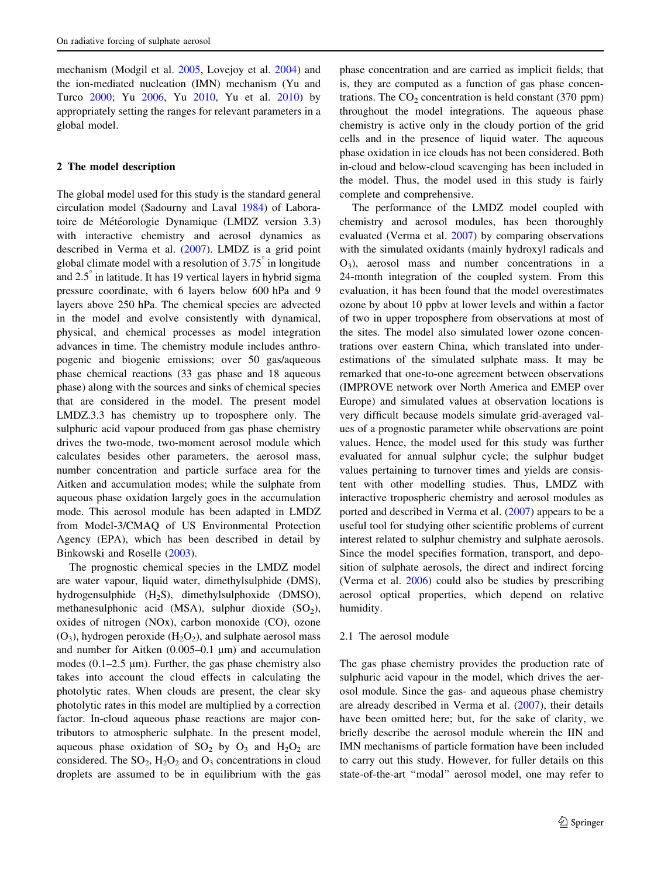mechanism (Modgil et al. [2005,](#page-13-0) Lovejoy et al. [2004\)](#page-13-0) and the ion-mediated nucleation (IMN) mechanism (Yu and Turco [2000;](#page-14-0) Yu [2006,](#page-14-0) Yu [2010](#page-14-0), Yu et al. [2010\)](#page-14-0) by appropriately setting the ranges for relevant parameters in a global model.

### 2 The model description

The global model used for this study is the standard general circulation model (Sadourny and Laval [1984\)](#page-13-0) of Laboratoire de Météorologie Dynamique (LMDZ version 3.3) with interactive chemistry and aerosol dynamics as described in Verma et al. [\(2007](#page-14-0)). LMDZ is a grid point global climate model with a resolution of 3.75 in longitude and  $2.5^\circ$  in latitude. It has 19 vertical layers in hybrid sigma pressure coordinate, with 6 layers below 600 hPa and 9 layers above 250 hPa. The chemical species are advected in the model and evolve consistently with dynamical, physical, and chemical processes as model integration advances in time. The chemistry module includes anthropogenic and biogenic emissions; over 50 gas/aqueous phase chemical reactions (33 gas phase and 18 aqueous phase) along with the sources and sinks of chemical species that are considered in the model. The present model LMDZ.3.3 has chemistry up to troposphere only. The sulphuric acid vapour produced from gas phase chemistry drives the two-mode, two-moment aerosol module which calculates besides other parameters, the aerosol mass, number concentration and particle surface area for the Aitken and accumulation modes; while the sulphate from aqueous phase oxidation largely goes in the accumulation mode. This aerosol module has been adapted in LMDZ from Model-3/CMAQ of US Environmental Protection Agency (EPA), which has been described in detail by Binkowski and Roselle [\(2003](#page-13-0)).

The prognostic chemical species in the LMDZ model are water vapour, liquid water, dimethylsulphide (DMS), hydrogensulphide (H2S), dimethylsulphoxide (DMSO), methanesulphonic acid (MSA), sulphur dioxide  $(SO<sub>2</sub>)$ , oxides of nitrogen (NOx), carbon monoxide (CO), ozone  $(O_3)$ , hydrogen peroxide  $(H_2O_2)$ , and sulphate aerosol mass and number for Aitken  $(0.005-0.1 \mu m)$  and accumulation modes  $(0.1–2.5 \mu m)$ . Further, the gas phase chemistry also takes into account the cloud effects in calculating the photolytic rates. When clouds are present, the clear sky photolytic rates in this model are multiplied by a correction factor. In-cloud aqueous phase reactions are major contributors to atmospheric sulphate. In the present model, aqueous phase oxidation of  $SO_2$  by  $O_3$  and  $H_2O_2$  are considered. The  $SO_2$ ,  $H_2O_2$  and  $O_3$  concentrations in cloud droplets are assumed to be in equilibrium with the gas phase concentration and are carried as implicit fields; that is, they are computed as a function of gas phase concentrations. The  $CO<sub>2</sub>$  concentration is held constant (370 ppm) throughout the model integrations. The aqueous phase chemistry is active only in the cloudy portion of the grid cells and in the presence of liquid water. The aqueous phase oxidation in ice clouds has not been considered. Both in-cloud and below-cloud scavenging has been included in the model. Thus, the model used in this study is fairly complete and comprehensive.

The performance of the LMDZ model coupled with chemistry and aerosol modules, has been thoroughly evaluated (Verma et al. [2007\)](#page-14-0) by comparing observations with the simulated oxidants (mainly hydroxyl radicals and  $O_3$ ), aerosol mass and number concentrations in a 24-month integration of the coupled system. From this evaluation, it has been found that the model overestimates ozone by about 10 ppbv at lower levels and within a factor of two in upper troposphere from observations at most of the sites. The model also simulated lower ozone concentrations over eastern China, which translated into underestimations of the simulated sulphate mass. It may be remarked that one-to-one agreement between observations (IMPROVE network over North America and EMEP over Europe) and simulated values at observation locations is very difficult because models simulate grid-averaged values of a prognostic parameter while observations are point values. Hence, the model used for this study was further evaluated for annual sulphur cycle; the sulphur budget values pertaining to turnover times and yields are consistent with other modelling studies. Thus, LMDZ with interactive tropospheric chemistry and aerosol modules as ported and described in Verma et al. [\(2007](#page-14-0)) appears to be a useful tool for studying other scientific problems of current interest related to sulphur chemistry and sulphate aerosols. Since the model specifies formation, transport, and deposition of sulphate aerosols, the direct and indirect forcing (Verma et al. [2006\)](#page-14-0) could also be studies by prescribing aerosol optical properties, which depend on relative humidity.

## 2.1 The aerosol module

The gas phase chemistry provides the production rate of sulphuric acid vapour in the model, which drives the aerosol module. Since the gas- and aqueous phase chemistry are already described in Verma et al. ([2007\)](#page-14-0), their details have been omitted here; but, for the sake of clarity, we briefly describe the aerosol module wherein the IIN and IMN mechanisms of particle formation have been included to carry out this study. However, for fuller details on this state-of-the-art ''modal'' aerosol model, one may refer to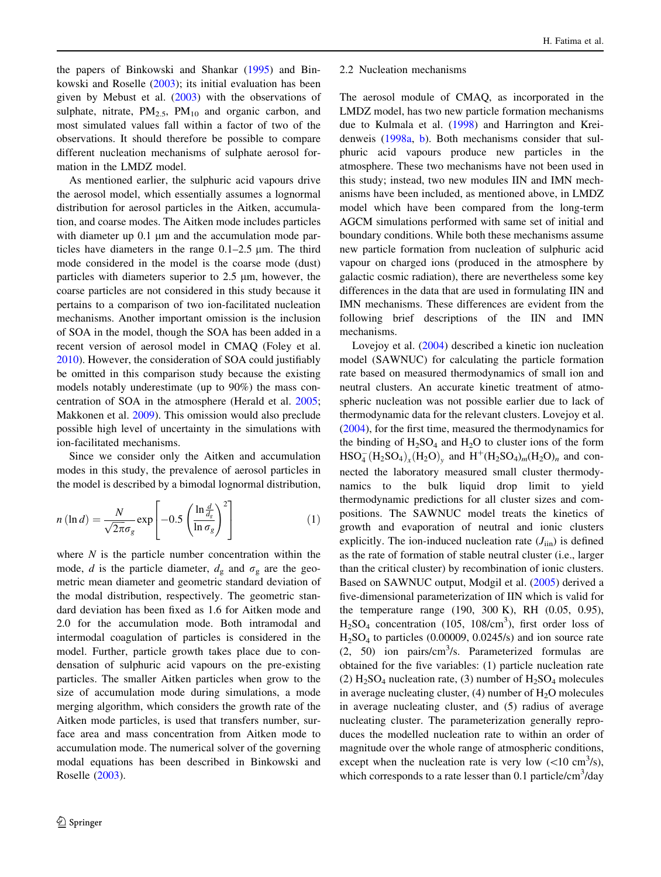<span id="page-3-0"></span>the papers of Binkowski and Shankar [\(1995](#page-13-0)) and Binkowski and Roselle [\(2003](#page-13-0)); its initial evaluation has been given by Mebust et al.  $(2003)$  $(2003)$  with the observations of sulphate, nitrate,  $PM_{2.5}$ ,  $PM_{10}$  and organic carbon, and most simulated values fall within a factor of two of the observations. It should therefore be possible to compare different nucleation mechanisms of sulphate aerosol formation in the LMDZ model.

As mentioned earlier, the sulphuric acid vapours drive the aerosol model, which essentially assumes a lognormal distribution for aerosol particles in the Aitken, accumulation, and coarse modes. The Aitken mode includes particles with diameter up  $0.1 \mu m$  and the accumulation mode particles have diameters in the range  $0.1-2.5 \mu m$ . The third mode considered in the model is the coarse mode (dust) particles with diameters superior to  $2.5 \mu m$ , however, the coarse particles are not considered in this study because it pertains to a comparison of two ion-facilitated nucleation mechanisms. Another important omission is the inclusion of SOA in the model, though the SOA has been added in a recent version of aerosol model in CMAQ (Foley et al. [2010\)](#page-13-0). However, the consideration of SOA could justifiably be omitted in this comparison study because the existing models notably underestimate (up to 90%) the mass concentration of SOA in the atmosphere (Herald et al. [2005](#page-13-0); Makkonen et al. [2009](#page-13-0)). This omission would also preclude possible high level of uncertainty in the simulations with ion-facilitated mechanisms.

Since we consider only the Aitken and accumulation modes in this study, the prevalence of aerosol particles in the model is described by a bimodal lognormal distribution,

$$
n\left(\ln d\right) = \frac{N}{\sqrt{2\pi}\sigma_g} \exp\left[-0.5\left(\frac{\ln\frac{d}{d_s}}{\ln\sigma_g}\right)^2\right] \tag{1}
$$

where  $N$  is the particle number concentration within the mode, d is the particle diameter,  $d_g$  and  $\sigma_g$  are the geometric mean diameter and geometric standard deviation of the modal distribution, respectively. The geometric standard deviation has been fixed as 1.6 for Aitken mode and 2.0 for the accumulation mode. Both intramodal and intermodal coagulation of particles is considered in the model. Further, particle growth takes place due to condensation of sulphuric acid vapours on the pre-existing particles. The smaller Aitken particles when grow to the size of accumulation mode during simulations, a mode merging algorithm, which considers the growth rate of the Aitken mode particles, is used that transfers number, surface area and mass concentration from Aitken mode to accumulation mode. The numerical solver of the governing modal equations has been described in Binkowski and Roselle ([2003\)](#page-13-0).

#### 2.2 Nucleation mechanisms

The aerosol module of CMAQ, as incorporated in the LMDZ model, has two new particle formation mechanisms due to Kulmala et al. ([1998\)](#page-13-0) and Harrington and Kreidenweis ([1998a](#page-13-0), [b](#page-13-0)). Both mechanisms consider that sulphuric acid vapours produce new particles in the atmosphere. These two mechanisms have not been used in this study; instead, two new modules IIN and IMN mechanisms have been included, as mentioned above, in LMDZ model which have been compared from the long-term AGCM simulations performed with same set of initial and boundary conditions. While both these mechanisms assume new particle formation from nucleation of sulphuric acid vapour on charged ions (produced in the atmosphere by galactic cosmic radiation), there are nevertheless some key differences in the data that are used in formulating IIN and IMN mechanisms. These differences are evident from the following brief descriptions of the IIN and IMN mechanisms.

Lovejoy et al. ([2004\)](#page-13-0) described a kinetic ion nucleation model (SAWNUC) for calculating the particle formation rate based on measured thermodynamics of small ion and neutral clusters. An accurate kinetic treatment of atmospheric nucleation was not possible earlier due to lack of thermodynamic data for the relevant clusters. Lovejoy et al. [\(2004](#page-13-0)), for the first time, measured the thermodynamics for the binding of  $H_2SO_4$  and  $H_2O$  to cluster ions of the form  $HSO_4^-(H_2SO_4)_x(H_2O)_y$  and  $H^+(H_2SO_4)_m(H_2O)_n$  and connected the laboratory measured small cluster thermodynamics to the bulk liquid drop limit to yield thermodynamic predictions for all cluster sizes and compositions. The SAWNUC model treats the kinetics of growth and evaporation of neutral and ionic clusters explicitly. The ion-induced nucleation rate  $(J_{\text{lin}})$  is defined as the rate of formation of stable neutral cluster (i.e., larger than the critical cluster) by recombination of ionic clusters. Based on SAWNUC output, Modgil et al. ([2005\)](#page-13-0) derived a five-dimensional parameterization of IIN which is valid for the temperature range (190, 300 K), RH (0.05, 0.95),  $H<sub>2</sub>SO<sub>4</sub>$  concentration (105, 108/cm<sup>3</sup>), first order loss of H2SO4 to particles (0.00009, 0.0245/s) and ion source rate  $(2, 50)$  ion pairs/cm<sup>3</sup>/s. Parameterized formulas are obtained for the five variables: (1) particle nucleation rate (2)  $H<sub>2</sub>SO<sub>4</sub>$  nucleation rate, (3) number of  $H<sub>2</sub>SO<sub>4</sub>$  molecules in average nucleating cluster,  $(4)$  number of  $H_2O$  molecules in average nucleating cluster, and (5) radius of average nucleating cluster. The parameterization generally reproduces the modelled nucleation rate to within an order of magnitude over the whole range of atmospheric conditions, except when the nucleation rate is very low  $(<10 \text{ cm}^3/\text{s})$ , which corresponds to a rate lesser than 0.1 particle/cm<sup>3</sup>/day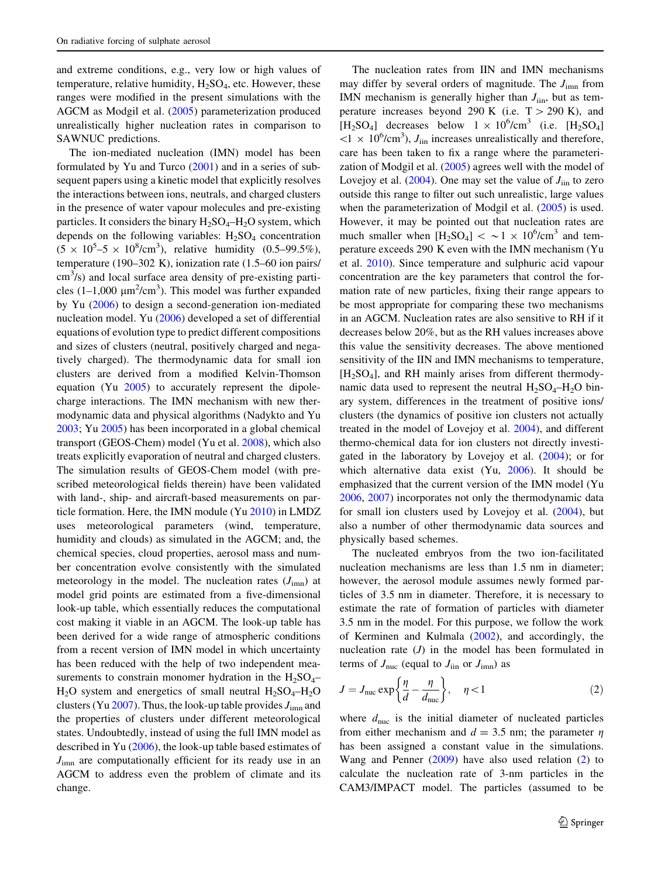<span id="page-4-0"></span>and extreme conditions, e.g., very low or high values of temperature, relative humidity,  $H_2SO_4$ , etc. However, these ranges were modified in the present simulations with the AGCM as Modgil et al. ([2005\)](#page-13-0) parameterization produced unrealistically higher nucleation rates in comparison to SAWNUC predictions.

The ion-mediated nucleation (IMN) model has been formulated by Yu and Turco [\(2001](#page-14-0)) and in a series of subsequent papers using a kinetic model that explicitly resolves the interactions between ions, neutrals, and charged clusters in the presence of water vapour molecules and pre-existing particles. It considers the binary  $H_2SO_4-H_2O$  system, which depends on the following variables:  $H_2SO_4$  concentration  $(5 \times 10^5 - 5 \times 10^8/\text{cm}^3)$ , relative humidity  $(0.5 - 99.5\%)$ , temperature (190–302 K), ionization rate (1.5–60 ion pairs/  $\text{cm}^3$ /s) and local surface area density of pre-existing particles  $(1-1,000 \mu m^2/cm^3)$ . This model was further expanded by Yu ([2006\)](#page-14-0) to design a second-generation ion-mediated nucleation model. Yu [\(2006](#page-14-0)) developed a set of differential equations of evolution type to predict different compositions and sizes of clusters (neutral, positively charged and negatively charged). The thermodynamic data for small ion clusters are derived from a modified Kelvin-Thomson equation (Yu [2005\)](#page-14-0) to accurately represent the dipolecharge interactions. The IMN mechanism with new thermodynamic data and physical algorithms (Nadykto and Yu [2003;](#page-13-0) Yu [2005](#page-14-0)) has been incorporated in a global chemical transport (GEOS-Chem) model (Yu et al. [2008](#page-14-0)), which also treats explicitly evaporation of neutral and charged clusters. The simulation results of GEOS-Chem model (with prescribed meteorological fields therein) have been validated with land-, ship- and aircraft-based measurements on particle formation. Here, the IMN module (Yu [2010](#page-14-0)) in LMDZ uses meteorological parameters (wind, temperature, humidity and clouds) as simulated in the AGCM; and, the chemical species, cloud properties, aerosol mass and number concentration evolve consistently with the simulated meteorology in the model. The nucleation rates  $(J_{\text{imm}})$  at model grid points are estimated from a five-dimensional look-up table, which essentially reduces the computational cost making it viable in an AGCM. The look-up table has been derived for a wide range of atmospheric conditions from a recent version of IMN model in which uncertainty has been reduced with the help of two independent measurements to constrain monomer hydration in the  $H_2SO_4 H_2O$  system and energetics of small neutral  $H_2SO_4-H_2O$ clusters (Yu [2007\)](#page-14-0). Thus, the look-up table provides  $J_{\text{imn}}$  and the properties of clusters under different meteorological states. Undoubtedly, instead of using the full IMN model as described in Yu [\(2006](#page-14-0)), the look-up table based estimates of  $J_{\text{imm}}$  are computationally efficient for its ready use in an AGCM to address even the problem of climate and its change.

The nucleation rates from IIN and IMN mechanisms may differ by several orders of magnitude. The  $J_{\text{imn}}$  from IMN mechanism is generally higher than  $J_{\text{lin}}$ , but as temperature increases beyond 290 K (i.e.  $T > 290$  K), and [H<sub>2</sub>SO<sub>4</sub>] decreases below  $1 \times 10^6$ /cm<sup>3</sup> (i.e. [H<sub>2</sub>SO<sub>4</sub>]  $\langle 1 \times 10^6$ /cm<sup>3</sup>),  $J_{\text{lin}}$  increases unrealistically and therefore, care has been taken to fix a range where the parameterization of Modgil et al. ([2005\)](#page-13-0) agrees well with the model of Lovejoy et al.  $(2004)$  $(2004)$ . One may set the value of  $J_{\text{lin}}$  to zero outside this range to filter out such unrealistic, large values when the parameterization of Modgil et al. [\(2005](#page-13-0)) is used. However, it may be pointed out that nucleation rates are much smaller when  $[H_2SO_4] < \sim 1 \times 10^6/\text{cm}^3$  and temperature exceeds 290 K even with the IMN mechanism (Yu et al. [2010](#page-14-0)). Since temperature and sulphuric acid vapour concentration are the key parameters that control the formation rate of new particles, fixing their range appears to be most appropriate for comparing these two mechanisms in an AGCM. Nucleation rates are also sensitive to RH if it decreases below 20%, but as the RH values increases above this value the sensitivity decreases. The above mentioned sensitivity of the IIN and IMN mechanisms to temperature,  $[H_2SO_4]$ , and RH mainly arises from different thermodynamic data used to represent the neutral  $H_2SO_4-H_2O$  binary system, differences in the treatment of positive ions/ clusters (the dynamics of positive ion clusters not actually treated in the model of Lovejoy et al. [2004](#page-13-0)), and different thermo-chemical data for ion clusters not directly investigated in the laboratory by Lovejoy et al. [\(2004](#page-13-0)); or for which alternative data exist (Yu, [2006\)](#page-14-0). It should be emphasized that the current version of the IMN model (Yu [2006](#page-14-0), [2007](#page-14-0)) incorporates not only the thermodynamic data for small ion clusters used by Lovejoy et al. ([2004\)](#page-13-0), but also a number of other thermodynamic data sources and physically based schemes.

The nucleated embryos from the two ion-facilitated nucleation mechanisms are less than 1.5 nm in diameter; however, the aerosol module assumes newly formed particles of 3.5 nm in diameter. Therefore, it is necessary to estimate the rate of formation of particles with diameter 3.5 nm in the model. For this purpose, we follow the work of Kerminen and Kulmala ([2002\)](#page-13-0), and accordingly, the nucleation rate  $(J)$  in the model has been formulated in terms of  $J_{\text{nuc}}$  (equal to  $J_{\text{lin}}$  or  $J_{\text{imn}}$ ) as

$$
J = J_{\text{nuc}} \exp\left\{\frac{\eta}{d} - \frac{\eta}{d_{\text{nuc}}}\right\}, \quad \eta < 1
$$
 (2)

where  $d_{\text{nuc}}$  is the initial diameter of nucleated particles from either mechanism and  $d = 3.5$  nm; the parameter  $\eta$ has been assigned a constant value in the simulations. Wang and Penner ([2009\)](#page-14-0) have also used relation (2) to calculate the nucleation rate of 3-nm particles in the CAM3/IMPACT model. The particles (assumed to be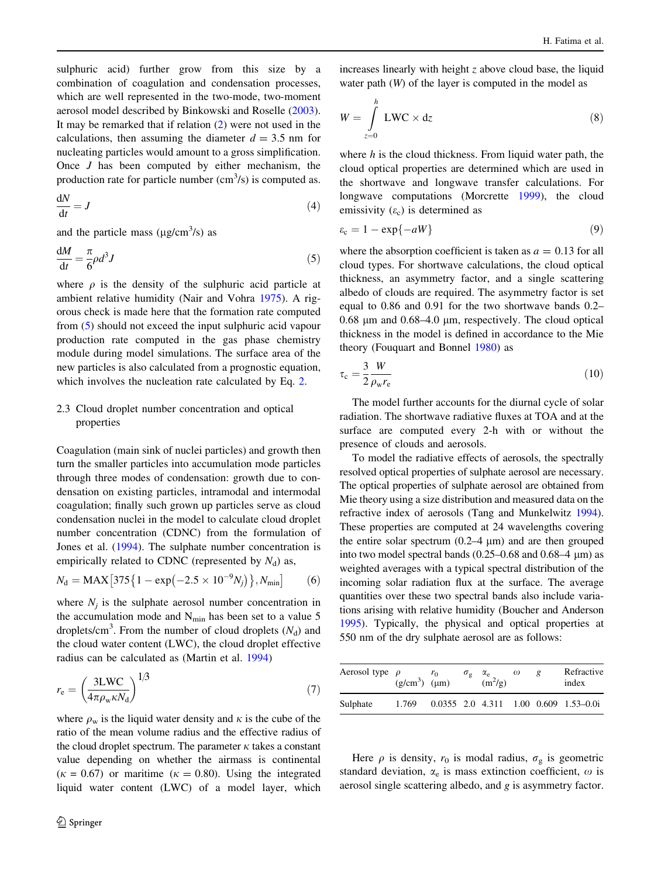<span id="page-5-0"></span>sulphuric acid) further grow from this size by a combination of coagulation and condensation processes, which are well represented in the two-mode, two-moment aerosol model described by Binkowski and Roselle [\(2003](#page-13-0)). It may be remarked that if relation [\(2](#page-4-0)) were not used in the calculations, then assuming the diameter  $d = 3.5$  nm for nucleating particles would amount to a gross simplification. Once J has been computed by either mechanism, the production rate for particle number  $(cm<sup>3</sup>/s)$  is computed as.

$$
\frac{\mathrm{d}N}{\mathrm{d}t} = J \tag{4}
$$

and the particle mass ( $\mu$ g/cm<sup>3</sup>/s) as

$$
\frac{dM}{dt} = \frac{\pi}{6}\rho d^3 J\tag{5}
$$

where  $\rho$  is the density of the sulphuric acid particle at ambient relative humidity (Nair and Vohra [1975\)](#page-13-0). A rigorous check is made here that the formation rate computed from (5) should not exceed the input sulphuric acid vapour production rate computed in the gas phase chemistry module during model simulations. The surface area of the new particles is also calculated from a prognostic equation, which involves the nucleation rate calculated by Eq. [2](#page-4-0).

## 2.3 Cloud droplet number concentration and optical properties

Coagulation (main sink of nuclei particles) and growth then turn the smaller particles into accumulation mode particles through three modes of condensation: growth due to condensation on existing particles, intramodal and intermodal coagulation; finally such grown up particles serve as cloud condensation nuclei in the model to calculate cloud droplet number concentration (CDNC) from the formulation of Jones et al. [\(1994](#page-13-0)). The sulphate number concentration is empirically related to CDNC (represented by  $N_d$ ) as,

$$
N_{\rm d} = {\rm MAX}\big[375\big\{1 - \exp\big(-2.5 \times 10^{-9} N_j\big)\big\}, N_{\rm min}\big] \tag{6}
$$

where  $N_i$  is the sulphate aerosol number concentration in the accumulation mode and  $N_{\text{min}}$  has been set to a value 5 droplets/cm<sup>3</sup>. From the number of cloud droplets  $(N_d)$  and the cloud water content (LWC), the cloud droplet effective radius can be calculated as (Martin et al. [1994](#page-13-0))

$$
r_{\rm e} = \left(\frac{3 \text{LWC}}{4 \pi \rho_{\rm w} \kappa N_{\rm d}}\right)^{1/3} \tag{7}
$$

where  $\rho_w$  is the liquid water density and  $\kappa$  is the cube of the ratio of the mean volume radius and the effective radius of the cloud droplet spectrum. The parameter  $\kappa$  takes a constant value depending on whether the airmass is continental ( $\kappa = 0.67$ ) or maritime ( $\kappa = 0.80$ ). Using the integrated liquid water content (LWC) of a model layer, which increases linearly with height  $z$  above cloud base, the liquid water path (W) of the layer is computed in the model as

$$
W = \int_{z=0}^{h} \text{LWC} \times dz
$$
 (8)

where  $h$  is the cloud thickness. From liquid water path, the cloud optical properties are determined which are used in the shortwave and longwave transfer calculations. For longwave computations (Morcrette [1999](#page-13-0)), the cloud emissivity  $(\varepsilon_c)$  is determined as

$$
\varepsilon_{\rm c} = 1 - \exp\{-aW\} \tag{9}
$$

where the absorption coefficient is taken as  $a = 0.13$  for all cloud types. For shortwave calculations, the cloud optical thickness, an asymmetry factor, and a single scattering albedo of clouds are required. The asymmetry factor is set equal to 0.86 and 0.91 for the two shortwave bands 0.2–  $0.68 \mu m$  and  $0.68-4.0 \mu m$ , respectively. The cloud optical thickness in the model is defined in accordance to the Mie theory (Fouquart and Bonnel [1980\)](#page-13-0) as

$$
\tau_{\rm c} = \frac{3}{2} \frac{W}{\rho_{\rm w} r_{\rm e}} \tag{10}
$$

The model further accounts for the diurnal cycle of solar radiation. The shortwave radiative fluxes at TOA and at the surface are computed every 2-h with or without the presence of clouds and aerosols.

To model the radiative effects of aerosols, the spectrally resolved optical properties of sulphate aerosol are necessary. The optical properties of sulphate aerosol are obtained from Mie theory using a size distribution and measured data on the refractive index of aerosols (Tang and Munkelwitz [1994\)](#page-14-0). These properties are computed at 24 wavelengths covering the entire solar spectrum  $(0.2-4 \mu m)$  and are then grouped into two model spectral bands  $(0.25-0.68$  and  $0.68-4 \mu m)$  as weighted averages with a typical spectral distribution of the incoming solar radiation flux at the surface. The average quantities over these two spectral bands also include variations arising with relative humidity (Boucher and Anderson [1995\)](#page-13-0). Typically, the physical and optical properties at 550 nm of the dry sulphate aerosol are as follows:

| Aerosol type $\rho$ | $(g/cm3)$ (µm) | $r_0$ | $\sigma_{\rm g}$ | $\alpha_{\rm e}$<br>$\mathrm{m}^2$ /g) | $\omega$ | g | Refractive<br>index                     |
|---------------------|----------------|-------|------------------|----------------------------------------|----------|---|-----------------------------------------|
| Sulphate            | 1.769          |       |                  |                                        |          |   | $0.0355$ 2.0 4.311 1.00 0.609 1.53-0.0i |
|                     |                |       |                  |                                        |          |   |                                         |

Here  $\rho$  is density,  $r_0$  is modal radius,  $\sigma_g$  is geometric standard deviation,  $\alpha_e$  is mass extinction coefficient,  $\omega$  is aerosol single scattering albedo, and g is asymmetry factor.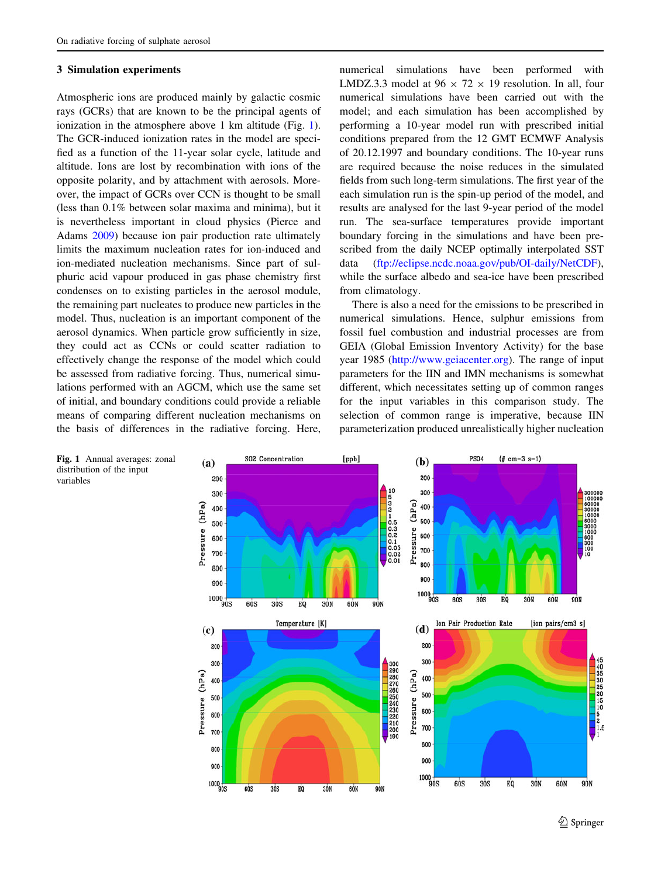#### <span id="page-6-0"></span>3 Simulation experiments

Atmospheric ions are produced mainly by galactic cosmic rays (GCRs) that are known to be the principal agents of ionization in the atmosphere above 1 km altitude (Fig. 1). The GCR-induced ionization rates in the model are specified as a function of the 11-year solar cycle, latitude and altitude. Ions are lost by recombination with ions of the opposite polarity, and by attachment with aerosols. Moreover, the impact of GCRs over CCN is thought to be small (less than 0.1% between solar maxima and minima), but it is nevertheless important in cloud physics (Pierce and Adams [2009](#page-13-0)) because ion pair production rate ultimately limits the maximum nucleation rates for ion-induced and ion-mediated nucleation mechanisms. Since part of sulphuric acid vapour produced in gas phase chemistry first condenses on to existing particles in the aerosol module, the remaining part nucleates to produce new particles in the model. Thus, nucleation is an important component of the aerosol dynamics. When particle grow sufficiently in size, they could act as CCNs or could scatter radiation to effectively change the response of the model which could be assessed from radiative forcing. Thus, numerical simulations performed with an AGCM, which use the same set of initial, and boundary conditions could provide a reliable means of comparing different nucleation mechanisms on the basis of differences in the radiative forcing. Here,

numerical simulations have been performed with LMDZ.3.3 model at  $96 \times 72 \times 19$  resolution. In all, four numerical simulations have been carried out with the model; and each simulation has been accomplished by performing a 10-year model run with prescribed initial conditions prepared from the 12 GMT ECMWF Analysis of 20.12.1997 and boundary conditions. The 10-year runs are required because the noise reduces in the simulated fields from such long-term simulations. The first year of the each simulation run is the spin-up period of the model, and results are analysed for the last 9-year period of the model run. The sea-surface temperatures provide important boundary forcing in the simulations and have been prescribed from the daily NCEP optimally interpolated SST data (<ftp://eclipse.ncdc.noaa.gov/pub/OI-daily/NetCDF>), while the surface albedo and sea-ice have been prescribed from climatology.

There is also a need for the emissions to be prescribed in numerical simulations. Hence, sulphur emissions from fossil fuel combustion and industrial processes are from GEIA (Global Emission Inventory Activity) for the base year 1985 [\(http://www.geiacenter.org](http://www.geiacenter.org)). The range of input parameters for the IIN and IMN mechanisms is somewhat different, which necessitates setting up of common ranges for the input variables in this comparison study. The selection of common range is imperative, because IIN parameterization produced unrealistically higher nucleation



Fig. 1 Annual averages: zonal distribution of the input variables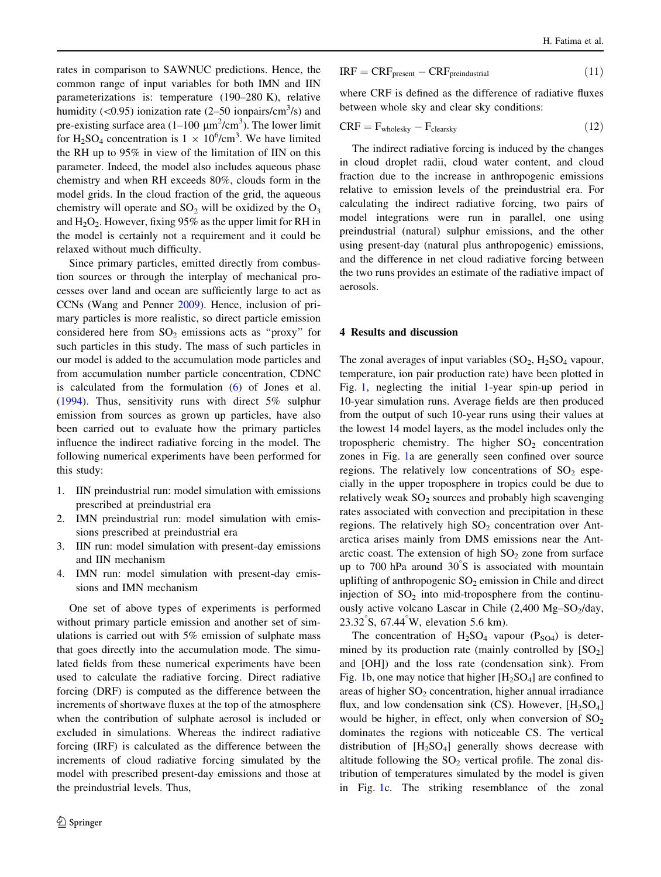<span id="page-7-0"></span>rates in comparison to SAWNUC predictions. Hence, the common range of input variables for both IMN and IIN parameterizations is: temperature (190–280 K), relative humidity  $(\leq 0.95)$  ionization rate  $(2-50 \text{ ionpairs/cm}^3/\text{s})$  and pre-existing surface area  $(1-100 \mu m^2/cm^3)$ . The lower limit for H<sub>2</sub>SO<sub>4</sub> concentration is  $1 \times 10^6$ /cm<sup>3</sup>. We have limited the RH up to 95% in view of the limitation of IIN on this parameter. Indeed, the model also includes aqueous phase chemistry and when RH exceeds 80%, clouds form in the model grids. In the cloud fraction of the grid, the aqueous chemistry will operate and  $SO_2$  will be oxidized by the  $O_3$ and  $H_2O_2$ . However, fixing 95% as the upper limit for RH in the model is certainly not a requirement and it could be relaxed without much difficulty.

Since primary particles, emitted directly from combustion sources or through the interplay of mechanical processes over land and ocean are sufficiently large to act as CCNs (Wang and Penner [2009](#page-14-0)). Hence, inclusion of primary particles is more realistic, so direct particle emission considered here from  $SO_2$  emissions acts as "proxy" for such particles in this study. The mass of such particles in our model is added to the accumulation mode particles and from accumulation number particle concentration, CDNC is calculated from the formulation ([6\)](#page-5-0) of Jones et al. [\(1994](#page-13-0)). Thus, sensitivity runs with direct 5% sulphur emission from sources as grown up particles, have also been carried out to evaluate how the primary particles influence the indirect radiative forcing in the model. The following numerical experiments have been performed for this study:

- 1. IIN preindustrial run: model simulation with emissions prescribed at preindustrial era
- 2. IMN preindustrial run: model simulation with emissions prescribed at preindustrial era
- 3. IIN run: model simulation with present-day emissions and IIN mechanism
- 4. IMN run: model simulation with present-day emissions and IMN mechanism

One set of above types of experiments is performed without primary particle emission and another set of simulations is carried out with 5% emission of sulphate mass that goes directly into the accumulation mode. The simulated fields from these numerical experiments have been used to calculate the radiative forcing. Direct radiative forcing (DRF) is computed as the difference between the increments of shortwave fluxes at the top of the atmosphere when the contribution of sulphate aerosol is included or excluded in simulations. Whereas the indirect radiative forcing (IRF) is calculated as the difference between the increments of cloud radiative forcing simulated by the model with prescribed present-day emissions and those at the preindustrial levels. Thus,

$$
IRF = CRF_{present} - CRF_{preindustrial}
$$
 (11)

where CRF is defined as the difference of radiative fluxes between whole sky and clear sky conditions:

$$
CRF = F_{\text{wholesky}} - F_{\text{clearsky}} \tag{12}
$$

The indirect radiative forcing is induced by the changes in cloud droplet radii, cloud water content, and cloud fraction due to the increase in anthropogenic emissions relative to emission levels of the preindustrial era. For calculating the indirect radiative forcing, two pairs of model integrations were run in parallel, one using preindustrial (natural) sulphur emissions, and the other using present-day (natural plus anthropogenic) emissions, and the difference in net cloud radiative forcing between the two runs provides an estimate of the radiative impact of aerosols.

## 4 Results and discussion

The zonal averages of input variables  $(SO_2, H_2SO_4)$  vapour, temperature, ion pair production rate) have been plotted in Fig. [1](#page-6-0), neglecting the initial 1-year spin-up period in 10-year simulation runs. Average fields are then produced from the output of such 10-year runs using their values at the lowest 14 model layers, as the model includes only the tropospheric chemistry. The higher  $SO_2$  concentration zones in Fig. [1](#page-6-0)a are generally seen confined over source regions. The relatively low concentrations of  $SO_2$  especially in the upper troposphere in tropics could be due to relatively weak  $SO_2$  sources and probably high scavenging rates associated with convection and precipitation in these regions. The relatively high  $SO<sub>2</sub>$  concentration over Antarctica arises mainly from DMS emissions near the Antarctic coast. The extension of high  $SO<sub>2</sub>$  zone from surface up to 700 hPa around 30 S is associated with mountain uplifting of anthropogenic  $SO_2$  emission in Chile and direct injection of  $SO<sub>2</sub>$  into mid-troposphere from the continuously active volcano Lascar in Chile  $(2,400 \text{ Mg}-\text{SO}_2/\text{day})$ , 23.32 S, 67.44 W, elevation 5.6 km).

The concentration of  $H_2SO_4$  vapour (P<sub>SO4</sub>) is determined by its production rate (mainly controlled by  $[SO_2]$ and [OH]) and the loss rate (condensation sink). From Fig. [1](#page-6-0)b, one may notice that higher  $[H_2SO_4]$  are confined to areas of higher  $SO<sub>2</sub>$  concentration, higher annual irradiance flux, and low condensation sink (CS). However,  $[H_2SO_4]$ would be higher, in effect, only when conversion of  $SO_2$ dominates the regions with noticeable CS. The vertical distribution of  $[H_2SO_4]$  generally shows decrease with altitude following the  $SO_2$  vertical profile. The zonal distribution of temperatures simulated by the model is given in Fig. [1c](#page-6-0). The striking resemblance of the zonal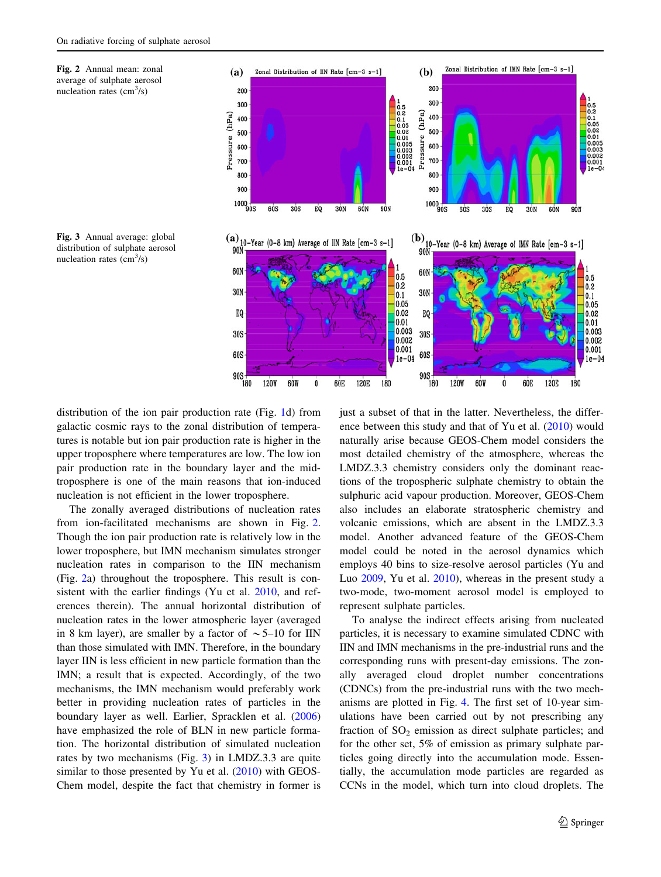



Fig. 3 Annual average: global distribution of sulphate aerosol nucleation rates  $\text{cm}^3\text{/s}$ )

distribution of the ion pair production rate (Fig. [1d](#page-6-0)) from galactic cosmic rays to the zonal distribution of temperatures is notable but ion pair production rate is higher in the upper troposphere where temperatures are low. The low ion pair production rate in the boundary layer and the midtroposphere is one of the main reasons that ion-induced nucleation is not efficient in the lower troposphere.

The zonally averaged distributions of nucleation rates from ion-facilitated mechanisms are shown in Fig. 2. Though the ion pair production rate is relatively low in the lower troposphere, but IMN mechanism simulates stronger nucleation rates in comparison to the IIN mechanism (Fig. 2a) throughout the troposphere. This result is consistent with the earlier findings (Yu et al. [2010,](#page-14-0) and references therein). The annual horizontal distribution of nucleation rates in the lower atmospheric layer (averaged in 8 km layer), are smaller by a factor of  $\sim$  5–10 for IIN than those simulated with IMN. Therefore, in the boundary layer IIN is less efficient in new particle formation than the IMN; a result that is expected. Accordingly, of the two mechanisms, the IMN mechanism would preferably work better in providing nucleation rates of particles in the boundary layer as well. Earlier, Spracklen et al. ([2006\)](#page-13-0) have emphasized the role of BLN in new particle formation. The horizontal distribution of simulated nucleation rates by two mechanisms (Fig. 3) in LMDZ.3.3 are quite similar to those presented by Yu et al. ([2010\)](#page-14-0) with GEOS-Chem model, despite the fact that chemistry in former is just a subset of that in the latter. Nevertheless, the difference between this study and that of Yu et al. [\(2010](#page-14-0)) would naturally arise because GEOS-Chem model considers the most detailed chemistry of the atmosphere, whereas the LMDZ.3.3 chemistry considers only the dominant reactions of the tropospheric sulphate chemistry to obtain the sulphuric acid vapour production. Moreover, GEOS-Chem also includes an elaborate stratospheric chemistry and volcanic emissions, which are absent in the LMDZ.3.3 model. Another advanced feature of the GEOS-Chem model could be noted in the aerosol dynamics which employs 40 bins to size-resolve aerosol particles (Yu and Luo [2009,](#page-14-0) Yu et al. [2010\)](#page-14-0), whereas in the present study a two-mode, two-moment aerosol model is employed to represent sulphate particles.

To analyse the indirect effects arising from nucleated particles, it is necessary to examine simulated CDNC with IIN and IMN mechanisms in the pre-industrial runs and the corresponding runs with present-day emissions. The zonally averaged cloud droplet number concentrations (CDNCs) from the pre-industrial runs with the two mechanisms are plotted in Fig. [4.](#page-9-0) The first set of 10-year simulations have been carried out by not prescribing any fraction of  $SO<sub>2</sub>$  emission as direct sulphate particles; and for the other set, 5% of emission as primary sulphate particles going directly into the accumulation mode. Essentially, the accumulation mode particles are regarded as CCNs in the model, which turn into cloud droplets. The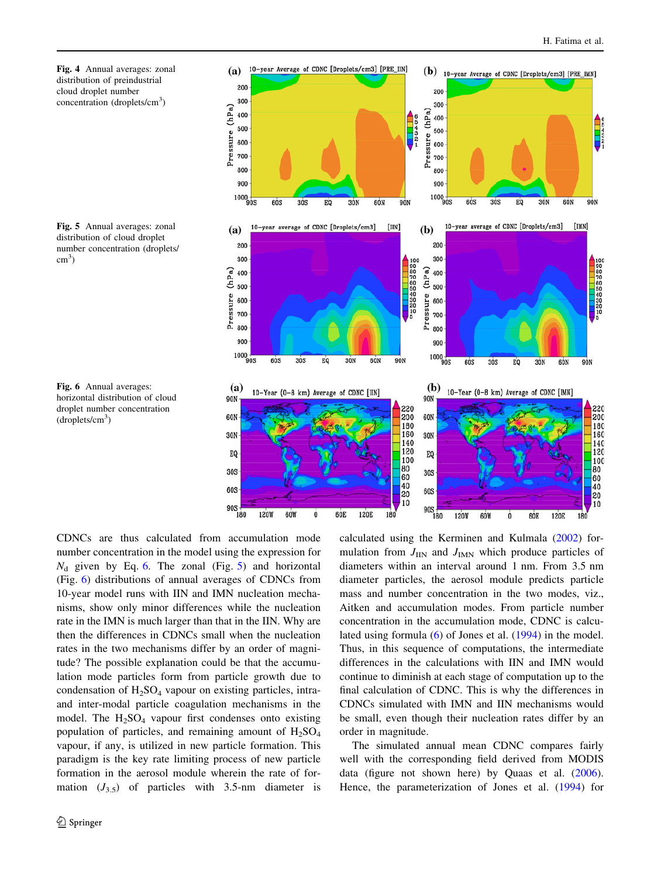<span id="page-9-0"></span>

Fig. 5 Annual averages: zonal distribution of cloud droplet number concentration (droplets/ cm<sup>3</sup>)



Fig. 6 Annual averages: horizontal distribution of cloud droplet number concentration (droplets/cm<sup>3</sup>)

CDNCs are thus calculated from accumulation mode number concentration in the model using the expression for  $N_d$  given by Eq. [6.](#page-5-0) The zonal (Fig. 5) and horizontal (Fig. 6) distributions of annual averages of CDNCs from 10-year model runs with IIN and IMN nucleation mechanisms, show only minor differences while the nucleation rate in the IMN is much larger than that in the IIN. Why are then the differences in CDNCs small when the nucleation rates in the two mechanisms differ by an order of magnitude? The possible explanation could be that the accumulation mode particles form from particle growth due to condensation of  $H_2SO_4$  vapour on existing particles, intraand inter-modal particle coagulation mechanisms in the model. The  $H_2SO_4$  vapour first condenses onto existing population of particles, and remaining amount of  $H_2SO_4$ vapour, if any, is utilized in new particle formation. This paradigm is the key rate limiting process of new particle formation in the aerosol module wherein the rate of formation  $(J_{3.5})$  of particles with 3.5-nm diameter is

calculated using the Kerminen and Kulmala [\(2002](#page-13-0)) formulation from  $J_{\text{IIN}}$  and  $J_{\text{IMN}}$  which produce particles of diameters within an interval around 1 nm. From 3.5 nm diameter particles, the aerosol module predicts particle mass and number concentration in the two modes, viz., Aitken and accumulation modes. From particle number concentration in the accumulation mode, CDNC is calculated using formula [\(6](#page-5-0)) of Jones et al. ([1994\)](#page-13-0) in the model. Thus, in this sequence of computations, the intermediate differences in the calculations with IIN and IMN would continue to diminish at each stage of computation up to the final calculation of CDNC. This is why the differences in CDNCs simulated with IMN and IIN mechanisms would be small, even though their nucleation rates differ by an order in magnitude.

The simulated annual mean CDNC compares fairly well with the corresponding field derived from MODIS data (figure not shown here) by Quaas et al. [\(2006](#page-13-0)). Hence, the parameterization of Jones et al. ([1994\)](#page-13-0) for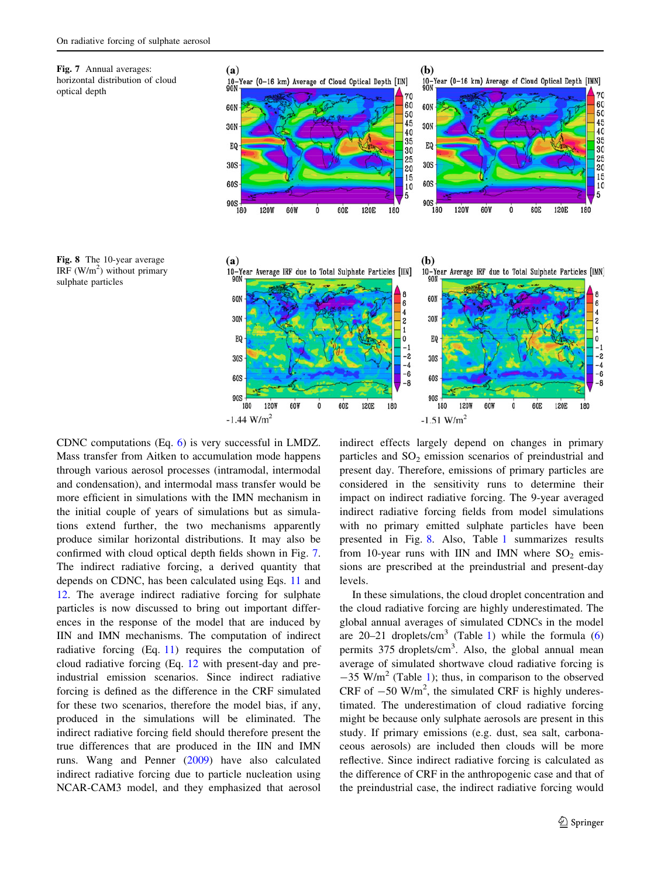<span id="page-10-0"></span>



Fig. 8 The 10-year average IRF  $(W/m<sup>2</sup>)$  without primary sulphate particles



CDNC computations (Eq. [6\)](#page-5-0) is very successful in LMDZ. Mass transfer from Aitken to accumulation mode happens through various aerosol processes (intramodal, intermodal and condensation), and intermodal mass transfer would be more efficient in simulations with the IMN mechanism in the initial couple of years of simulations but as simulations extend further, the two mechanisms apparently produce similar horizontal distributions. It may also be confirmed with cloud optical depth fields shown in Fig. 7. The indirect radiative forcing, a derived quantity that depends on CDNC, has been calculated using Eqs. [11](#page-3-0) and [12](#page-7-0). The average indirect radiative forcing for sulphate particles is now discussed to bring out important differences in the response of the model that are induced by IIN and IMN mechanisms. The computation of indirect radiative forcing (Eq. [11\)](#page-3-0) requires the computation of cloud radiative forcing (Eq. [12](#page-7-0) with present-day and preindustrial emission scenarios. Since indirect radiative forcing is defined as the difference in the CRF simulated for these two scenarios, therefore the model bias, if any, produced in the simulations will be eliminated. The indirect radiative forcing field should therefore present the true differences that are produced in the IIN and IMN runs. Wang and Penner ([2009\)](#page-14-0) have also calculated indirect radiative forcing due to particle nucleation using NCAR-CAM3 model, and they emphasized that aerosol

indirect effects largely depend on changes in primary particles and  $SO<sub>2</sub>$  emission scenarios of preindustrial and present day. Therefore, emissions of primary particles are considered in the sensitivity runs to determine their impact on indirect radiative forcing. The 9-year averaged indirect radiative forcing fields from model simulations with no primary emitted sulphate particles have been presented in Fig. 8. Also, Table [1](#page-11-0) summarizes results from 10-year runs with IIN and IMN where  $SO_2$  emissions are prescribed at the preindustrial and present-day levels.

In these simulations, the cloud droplet concentration and the cloud radiative forcing are highly underestimated. The global annual averages of simulated CDNCs in the model are  $20-21$  droplets/cm<sup>3</sup> (Table [1\)](#page-11-0) while the formula ([6\)](#page-5-0) permits 375 droplets/cm<sup>3</sup>. Also, the global annual mean average of simulated shortwave cloud radiative forcing is  $-35$  W/m<sup>2</sup> (Table [1\)](#page-11-0); thus, in comparison to the observed CRF of  $-50$  W/m<sup>2</sup>, the simulated CRF is highly underestimated. The underestimation of cloud radiative forcing might be because only sulphate aerosols are present in this study. If primary emissions (e.g. dust, sea salt, carbonaceous aerosols) are included then clouds will be more reflective. Since indirect radiative forcing is calculated as the difference of CRF in the anthropogenic case and that of the preindustrial case, the indirect radiative forcing would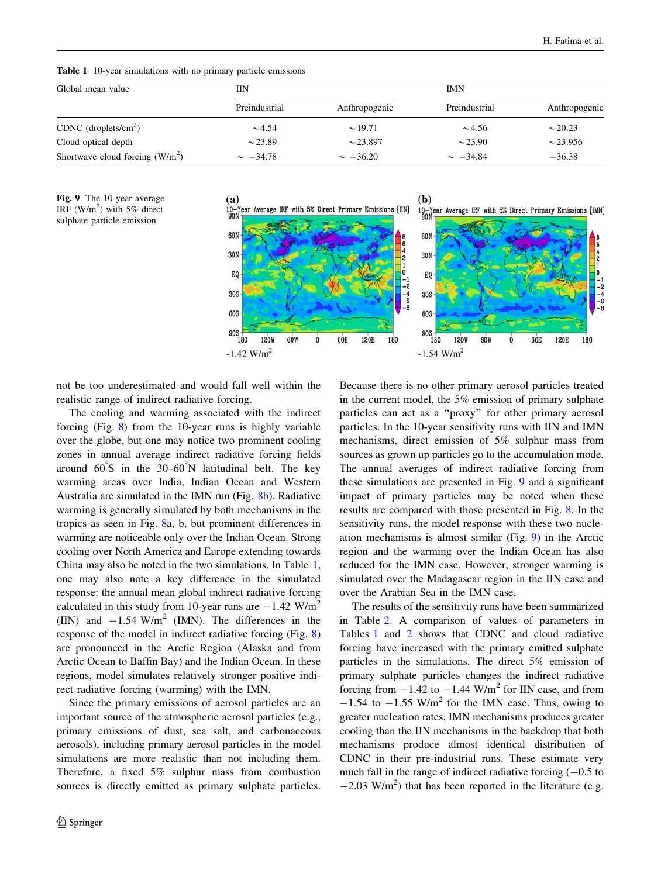| Global mean value                | IΙN           |               | <b>IMN</b>    |               |
|----------------------------------|---------------|---------------|---------------|---------------|
|                                  | Preindustrial | Anthropogenic | Preindustrial | Anthropogenic |
| CDNC (droplets/ $\text{cm}^3$ )  | $\sim 4.54$   | $\sim$ 19.71  | $\sim$ 4.56   | $\sim$ 20.23  |
| Cloud optical depth              | $\sim$ 23.89  | $\sim$ 23.897 | $\sim$ 23.90  | $\sim$ 23.956 |
| Shortwave cloud forcing $(W/m2)$ | $\sim -34.78$ | $\sim -36.20$ | $\sim -34.84$ | $-36.38$      |

<span id="page-11-0"></span>Table 1 10-year simulations with no primary particle emissions





not be too underestimated and would fall well within the realistic range of indirect radiative forcing.

The cooling and warming associated with the indirect forcing (Fig. [8\)](#page-10-0) from the 10-year runs is highly variable over the globe, but one may notice two prominent cooling zones in annual average indirect radiative forcing fields around  $60^{\degree}$ S in the  $30-60^{\degree}$ N latitudinal belt. The key warming areas over India, Indian Ocean and Western Australia are simulated in the IMN run (Fig. [8](#page-10-0)b). Radiative warming is generally simulated by both mechanisms in the tropics as seen in Fig. [8a](#page-10-0), b, but prominent differences in warming are noticeable only over the Indian Ocean. Strong cooling over North America and Europe extending towards China may also be noted in the two simulations. In Table 1, one may also note a key difference in the simulated response: the annual mean global indirect radiative forcing calculated in this study from 10-year runs are  $-1.42$  W/m<sup>2</sup> (IIN) and  $-1.54$  W/m<sup>2</sup> (IMN). The differences in the response of the model in indirect radiative forcing (Fig. [8\)](#page-10-0) are pronounced in the Arctic Region (Alaska and from Arctic Ocean to Baffin Bay) and the Indian Ocean. In these regions, model simulates relatively stronger positive indirect radiative forcing (warming) with the IMN.

Since the primary emissions of aerosol particles are an important source of the atmospheric aerosol particles (e.g., primary emissions of dust, sea salt, and carbonaceous aerosols), including primary aerosol particles in the model simulations are more realistic than not including them. Therefore, a fixed 5% sulphur mass from combustion sources is directly emitted as primary sulphate particles.

Because there is no other primary aerosol particles treated in the current model, the 5% emission of primary sulphate particles can act as a ''proxy'' for other primary aerosol particles. In the 10-year sensitivity runs with IIN and IMN mechanisms, direct emission of 5% sulphur mass from sources as grown up particles go to the accumulation mode. The annual averages of indirect radiative forcing from these simulations are presented in Fig. 9 and a significant impact of primary particles may be noted when these results are compared with those presented in Fig. [8.](#page-10-0) In the sensitivity runs, the model response with these two nucleation mechanisms is almost similar (Fig. 9) in the Arctic region and the warming over the Indian Ocean has also reduced for the IMN case. However, stronger warming is simulated over the Madagascar region in the IIN case and over the Arabian Sea in the IMN case.

The results of the sensitivity runs have been summarized in Table [2](#page-12-0). A comparison of values of parameters in Tables 1 and [2](#page-12-0) shows that CDNC and cloud radiative forcing have increased with the primary emitted sulphate particles in the simulations. The direct 5% emission of primary sulphate particles changes the indirect radiative forcing from  $-1.42$  to  $-1.44$  W/m<sup>2</sup> for IIN case, and from  $-1.54$  to  $-1.55$  W/m<sup>2</sup> for the IMN case. Thus, owing to greater nucleation rates, IMN mechanisms produces greater cooling than the IIN mechanisms in the backdrop that both mechanisms produce almost identical distribution of CDNC in their pre-industrial runs. These estimate very much fall in the range of indirect radiative forcing  $(-0.5$  to  $-2.03$  W/m<sup>2</sup>) that has been reported in the literature (e.g.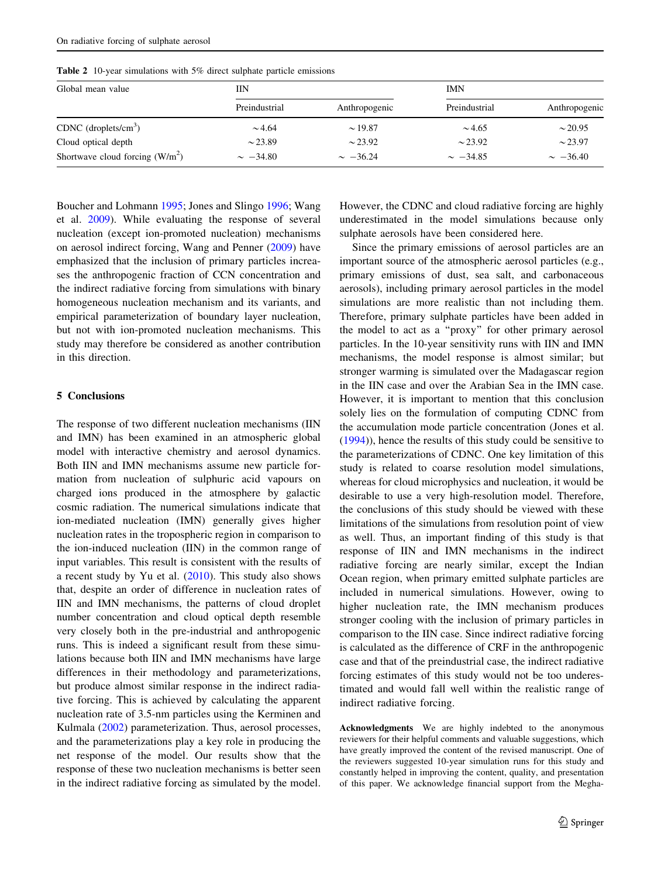<span id="page-12-0"></span>Table 2 10-year simulations with 5% direct sulphate particle emissions

| Global mean value                | IΙN           |               | <b>IMN</b>    |               |  |
|----------------------------------|---------------|---------------|---------------|---------------|--|
|                                  | Preindustrial | Anthropogenic | Preindustrial | Anthropogenic |  |
| CDNC $(droplets/cm3)$            | $\sim 4.64$   | $\sim$ 19.87  | $\sim$ 4.65   | $\sim$ 20.95  |  |
| Cloud optical depth              | $\sim$ 23.89  | $\sim$ 23.92  | $\sim$ 23.92  | $\sim$ 23.97  |  |
| Shortwave cloud forcing $(W/m2)$ | $\sim -34.80$ | $\sim -36.24$ | $\sim -34.85$ | $\sim -36.40$ |  |

Boucher and Lohmann [1995;](#page-13-0) Jones and Slingo [1996;](#page-13-0) Wang et al. [2009](#page-14-0)). While evaluating the response of several nucleation (except ion-promoted nucleation) mechanisms on aerosol indirect forcing, Wang and Penner ([2009\)](#page-14-0) have emphasized that the inclusion of primary particles increases the anthropogenic fraction of CCN concentration and the indirect radiative forcing from simulations with binary homogeneous nucleation mechanism and its variants, and empirical parameterization of boundary layer nucleation, but not with ion-promoted nucleation mechanisms. This study may therefore be considered as another contribution in this direction.

## 5 Conclusions

The response of two different nucleation mechanisms (IIN and IMN) has been examined in an atmospheric global model with interactive chemistry and aerosol dynamics. Both IIN and IMN mechanisms assume new particle formation from nucleation of sulphuric acid vapours on charged ions produced in the atmosphere by galactic cosmic radiation. The numerical simulations indicate that ion-mediated nucleation (IMN) generally gives higher nucleation rates in the tropospheric region in comparison to the ion-induced nucleation (IIN) in the common range of input variables. This result is consistent with the results of a recent study by Yu et al.  $(2010)$  $(2010)$ . This study also shows that, despite an order of difference in nucleation rates of IIN and IMN mechanisms, the patterns of cloud droplet number concentration and cloud optical depth resemble very closely both in the pre-industrial and anthropogenic runs. This is indeed a significant result from these simulations because both IIN and IMN mechanisms have large differences in their methodology and parameterizations, but produce almost similar response in the indirect radiative forcing. This is achieved by calculating the apparent nucleation rate of 3.5-nm particles using the Kerminen and Kulmala ([2002\)](#page-13-0) parameterization. Thus, aerosol processes, and the parameterizations play a key role in producing the net response of the model. Our results show that the response of these two nucleation mechanisms is better seen in the indirect radiative forcing as simulated by the model.

However, the CDNC and cloud radiative forcing are highly underestimated in the model simulations because only sulphate aerosols have been considered here.

Since the primary emissions of aerosol particles are an important source of the atmospheric aerosol particles (e.g., primary emissions of dust, sea salt, and carbonaceous aerosols), including primary aerosol particles in the model simulations are more realistic than not including them. Therefore, primary sulphate particles have been added in the model to act as a ''proxy'' for other primary aerosol particles. In the 10-year sensitivity runs with IIN and IMN mechanisms, the model response is almost similar; but stronger warming is simulated over the Madagascar region in the IIN case and over the Arabian Sea in the IMN case. However, it is important to mention that this conclusion solely lies on the formulation of computing CDNC from the accumulation mode particle concentration (Jones et al. [\(1994](#page-13-0))), hence the results of this study could be sensitive to the parameterizations of CDNC. One key limitation of this study is related to coarse resolution model simulations, whereas for cloud microphysics and nucleation, it would be desirable to use a very high-resolution model. Therefore, the conclusions of this study should be viewed with these limitations of the simulations from resolution point of view as well. Thus, an important finding of this study is that response of IIN and IMN mechanisms in the indirect radiative forcing are nearly similar, except the Indian Ocean region, when primary emitted sulphate particles are included in numerical simulations. However, owing to higher nucleation rate, the IMN mechanism produces stronger cooling with the inclusion of primary particles in comparison to the IIN case. Since indirect radiative forcing is calculated as the difference of CRF in the anthropogenic case and that of the preindustrial case, the indirect radiative forcing estimates of this study would not be too underestimated and would fall well within the realistic range of indirect radiative forcing.

Acknowledgments We are highly indebted to the anonymous reviewers for their helpful comments and valuable suggestions, which have greatly improved the content of the revised manuscript. One of the reviewers suggested 10-year simulation runs for this study and constantly helped in improving the content, quality, and presentation of this paper. We acknowledge financial support from the Megha-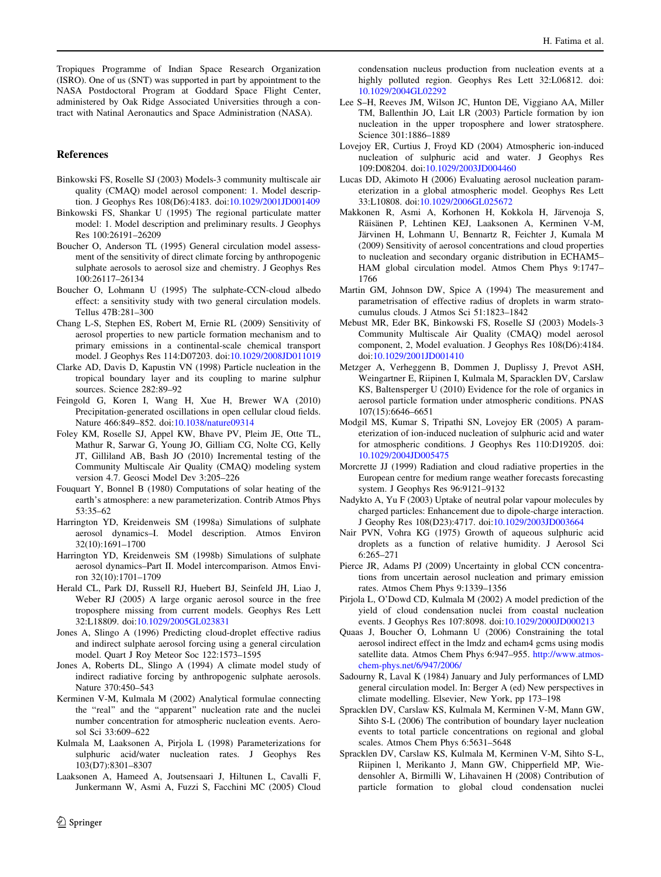<span id="page-13-0"></span>Tropiques Programme of Indian Space Research Organization (ISRO). One of us (SNT) was supported in part by appointment to the NASA Postdoctoral Program at Goddard Space Flight Center, administered by Oak Ridge Associated Universities through a contract with Natinal Aeronautics and Space Administration (NASA).

### References

- Binkowski FS, Roselle SJ (2003) Models-3 community multiscale air quality (CMAQ) model aerosol component: 1. Model description. J Geophys Res 108(D6):4183. doi:[10.1029/2001JD001409](http://dx.doi.org/10.1029/2001JD001409)
- Binkowski FS, Shankar U (1995) The regional particulate matter model: 1. Model description and preliminary results. J Geophys Res 100:26191–26209
- Boucher O, Anderson TL (1995) General circulation model assessment of the sensitivity of direct climate forcing by anthropogenic sulphate aerosols to aerosol size and chemistry. J Geophys Res 100:26117–26134
- Boucher O, Lohmann U (1995) The sulphate-CCN-cloud albedo effect: a sensitivity study with two general circulation models. Tellus 47B:281–300
- Chang L-S, Stephen ES, Robert M, Ernie RL (2009) Sensitivity of aerosol properties to new particle formation mechanism and to primary emissions in a continental-scale chemical transport model. J Geophys Res 114:D07203. doi[:10.1029/2008JD011019](http://dx.doi.org/10.1029/2008JD011019)
- Clarke AD, Davis D, Kapustin VN (1998) Particle nucleation in the tropical boundary layer and its coupling to marine sulphur sources. Science 282:89–92
- Feingold G, Koren I, Wang H, Xue H, Brewer WA (2010) Precipitation-generated oscillations in open cellular cloud fields. Nature 466:849–852. doi:[10.1038/nature09314](http://dx.doi.org/10.1038/nature09314)
- Foley KM, Roselle SJ, Appel KW, Bhave PV, Pleim JE, Otte TL, Mathur R, Sarwar G, Young JO, Gilliam CG, Nolte CG, Kelly JT, Gilliland AB, Bash JO (2010) Incremental testing of the Community Multiscale Air Quality (CMAQ) modeling system version 4.7. Geosci Model Dev 3:205–226
- Fouquart Y, Bonnel B (1980) Computations of solar heating of the earth's atmosphere: a new parameterization. Contrib Atmos Phys 53:35–62
- Harrington YD, Kreidenweis SM (1998a) Simulations of sulphate aerosol dynamics–I. Model description. Atmos Environ 32(10):1691–1700
- Harrington YD, Kreidenweis SM (1998b) Simulations of sulphate aerosol dynamics–Part II. Model intercomparison. Atmos Environ 32(10):1701–1709
- Herald CL, Park DJ, Russell RJ, Huebert BJ, Seinfeld JH, Liao J, Weber RJ (2005) A large organic aerosol source in the free troposphere missing from current models. Geophys Res Lett 32:L18809. doi[:10.1029/2005GL023831](http://dx.doi.org/10.1029/2005GL023831)
- Jones A, Slingo A (1996) Predicting cloud-droplet effective radius and indirect sulphate aerosol forcing using a general circulation model. Quart J Roy Meteor Soc 122:1573–1595
- Jones A, Roberts DL, Slingo A (1994) A climate model study of indirect radiative forcing by anthropogenic sulphate aerosols. Nature 370:450–543
- Kerminen V-M, Kulmala M (2002) Analytical formulae connecting the "real" and the "apparent" nucleation rate and the nuclei number concentration for atmospheric nucleation events. Aerosol Sci 33:609–622
- Kulmala M, Laaksonen A, Pirjola L (1998) Parameterizations for sulphuric acid/water nucleation rates. J Geophys Res 103(D7):8301–8307
- Laaksonen A, Hameed A, Joutsensaari J, Hiltunen L, Cavalli F, Junkermann W, Asmi A, Fuzzi S, Facchini MC (2005) Cloud

condensation nucleus production from nucleation events at a highly polluted region. Geophys Res Lett 32:L06812. doi: [10.1029/2004GL02292](http://dx.doi.org/10.1029/2004GL02292)

- Lee S–H, Reeves JM, Wilson JC, Hunton DE, Viggiano AA, Miller TM, Ballenthin JO, Lait LR (2003) Particle formation by ion nucleation in the upper troposphere and lower stratosphere. Science 301:1886–1889
- Lovejoy ER, Curtius J, Froyd KD (2004) Atmospheric ion-induced nucleation of sulphuric acid and water. J Geophys Res 109:D08204. doi:[10.1029/2003JD004460](http://dx.doi.org/10.1029/2003JD004460)
- Lucas DD, Akimoto H (2006) Evaluating aerosol nucleation parameterization in a global atmospheric model. Geophys Res Lett 33:L10808. doi:[10.1029/2006GL025672](http://dx.doi.org/10.1029/2006GL025672)
- Makkonen R, Asmi A, Korhonen H, Kokkola H, Järvenoja S, Räisänen P, Lehtinen KEJ, Laaksonen A, Kerminen V-M, Järvinen H, Lohmann U, Bennartz R, Feichter J, Kumala M (2009) Sensitivity of aerosol concentrations and cloud properties to nucleation and secondary organic distribution in ECHAM5– HAM global circulation model. Atmos Chem Phys 9:1747– 1766
- Martin GM, Johnson DW, Spice A (1994) The measurement and parametrisation of effective radius of droplets in warm stratocumulus clouds. J Atmos Sci 51:1823–1842
- Mebust MR, Eder BK, Binkowski FS, Roselle SJ (2003) Models-3 Community Multiscale Air Quality (CMAQ) model aerosol component, 2, Model evaluation. J Geophys Res 108(D6):4184. doi[:10.1029/2001JD001410](http://dx.doi.org/10.1029/2001JD001410)
- Metzger A, Verheggenn B, Dommen J, Duplissy J, Prevot ASH, Weingartner E, Riipinen I, Kulmala M, Sparacklen DV, Carslaw KS, Baltensperger U (2010) Evidence for the role of organics in aerosol particle formation under atmospheric conditions. PNAS 107(15):6646–6651
- Modgil MS, Kumar S, Tripathi SN, Lovejoy ER (2005) A parameterization of ion-induced nucleation of sulphuric acid and water for atmospheric conditions. J Geophys Res 110:D19205. doi: [10.1029/2004JD005475](http://dx.doi.org/10.1029/2004JD005475)
- Morcrette JJ (1999) Radiation and cloud radiative properties in the European centre for medium range weather forecasts forecasting system. J Geophys Res 96:9121–9132
- Nadykto A, Yu F (2003) Uptake of neutral polar vapour molecules by charged particles: Enhancement due to dipole-charge interaction. J Geophy Res 108(D23):4717. doi:[10.1029/2003JD003664](http://dx.doi.org/10.1029/2003JD003664)
- Nair PVN, Vohra KG (1975) Growth of aqueous sulphuric acid droplets as a function of relative humidity. J Aerosol Sci 6:265–271
- Pierce JR, Adams PJ (2009) Uncertainty in global CCN concentrations from uncertain aerosol nucleation and primary emission rates. Atmos Chem Phys 9:1339–1356
- Pirjola L, O'Dowd CD, Kulmala M (2002) A model prediction of the yield of cloud condensation nuclei from coastal nucleation events. J Geophys Res 107:8098. doi:[10.1029/2000JD000213](http://dx.doi.org/10.1029/2000JD000213)
- Quaas J, Boucher O, Lohmann U (2006) Constraining the total aerosol indirect effect in the lmdz and echam4 gcms using modis satellite data. Atmos Chem Phys 6:947–955. [http://www.atmos](http://www.atmos-chem-phys.net/6/947/2006/)[chem-phys.net/6/947/2006/](http://www.atmos-chem-phys.net/6/947/2006/)
- Sadourny R, Laval K (1984) January and July performances of LMD general circulation model. In: Berger A (ed) New perspectives in climate modelling. Elsevier, New York, pp 173–198
- Spracklen DV, Carslaw KS, Kulmala M, Kerminen V-M, Mann GW, Sihto S-L (2006) The contribution of boundary layer nucleation events to total particle concentrations on regional and global scales. Atmos Chem Phys 6:5631–5648
- Spracklen DV, Carslaw KS, Kulmala M, Kerminen V-M, Sihto S-L, Riipinen l, Merikanto J, Mann GW, Chipperfield MP, Wiedensohler A, Birmilli W, Lihavainen H (2008) Contribution of particle formation to global cloud condensation nuclei